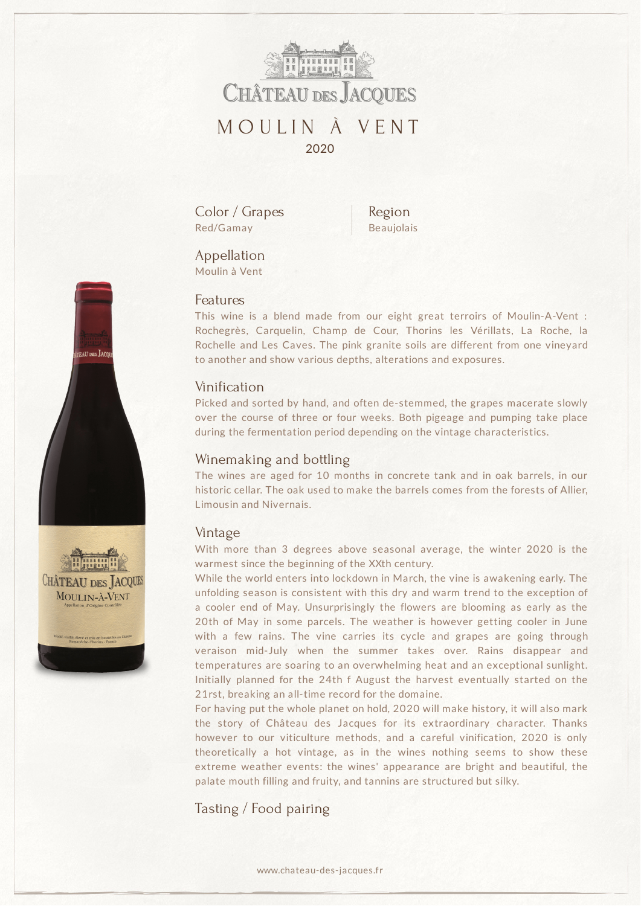

Color / Grapes Red/Gamay

Region Beaujolais

# Appellation

Moulin à Vent

#### Features

This wine is a blend made from our eight great terroirs of Moulin-A-Vent : Rochegrès, Carquelin, Champ de Cour, Thorins les Vérillats, La Roche, la Rochelle and Les Caves. The pink granite soils are different from one vineyard to another and show various depths, alterations and exposures.

## Vinification

Picked and sorted by hand, and often de-stemmed, the grapes macerate slowly over the course of three or four weeks. Both pigeage and pumping take place during the fermentation period depending on the vintage characteristics.

### Winemaking and bottling

The wines are aged for 10 months in concrete tank and in oak barrels, in our historic cellar. The oak used to make the barrels comes from the forests of Allier, Limousin and Nivernais.

#### Vintage

With more than 3 degrees above seasonal average, the winter 2020 is the warmest since the beginning of the XXth century.

While the world enters into lockdown in March, the vine is awakening early. The unfolding season is consistent with this dry and warm trend to the exception of a cooler end of May. Unsurprisingly the flowers are blooming as early as the 20th of May in some parcels. The weather is however getting cooler in June with a few rains. The vine carries its cycle and grapes are going through veraison mid-July when the summer takes over. Rains disappear and temperatures are soaring to an overwhelming heat and an exceptional sunlight. Initially planned for the 24th f August the harvest eventually started on the 21rst, breaking an all-time record for the domaine.

For having put the whole planet on hold, 2020 will make history, it will also mark the story of Château des Jacques for its extraordinary character. Thanks however to our viticulture methods, and a careful vinification, 2020 is only theoretically a hot vintage, as in the wines nothing seems to show these extreme weather events: the wines' appearance are bright and beautiful, the palate mouth filling and fruity, and tannins are structured but silky.

Tasting / Food pairing